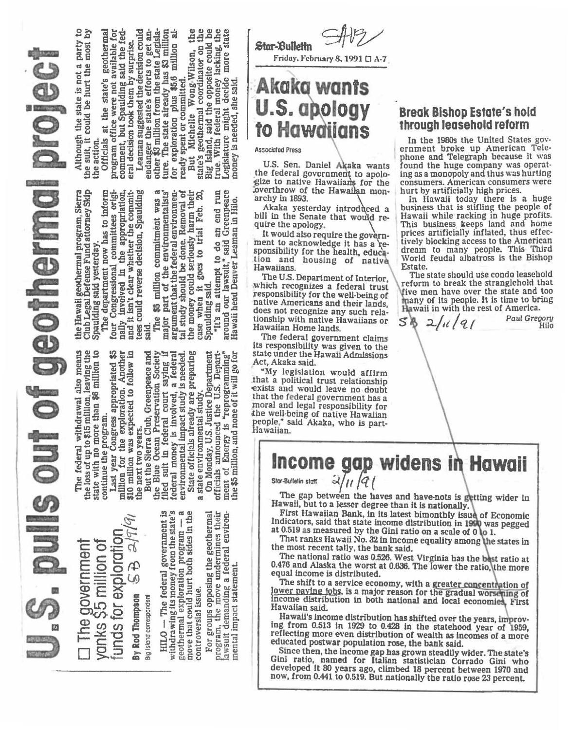pulls out of geothermal projec

مماليا funds for exploration □ The government<br>yanks \$5 million of <u>අ</u> By Rod Thompson Big Island correspondent  $HLO$  — The federal government is<br>withdrawing its money from the state's geothermal exploration program -- a<br>move that could hurt both sides in the controversial issue.

For groups opposing the geothermal<br>program, the move undermines their lawsuit demanding a federal environ-<br>mental impact statement.

The federal withdrawal also means<br>the loss of up to \$15 million, leaving the<br>state with no more than \$6 million to<br>continue the program.

Last year Congress appropriated \$5<br>million for the exploration. Another<br>\$10 million was expected to follow in<br>the next two years.<br>But the Sierra Club, Greenpeace and

G

the Blue Ocean Practicular Scenar Indianal and the federal court saying if federal money is involved, a federal environmental impact study is needed.<br>State of it is a federal court saying if federal money is involved, a fe

officials announced the U.S. Department of Energy is "reprogramming"<br>the \$5 million, and none of it will go for On Monday, U.S. Justice Department

Although the state is not a party to<br>the suit, it could be hurt the most by the action.

Officials at the state's geothermal program office were not available for<br>comment, but Spaulding said the fed-<br>eral decision took them by surprise.

the Hawaii geothermal program Sierra<br>Club Legal Defense Fund attorney Skip<br>Spaulding said yesterday.<br>The department now has to inform<br>four Congressional committees originally involved in the appropriation,<br>and it isn't cle

 $\frac{1}{2}$  state's geothermal coordinator, the state's geothermal coordinator on the Big Island, said the opposite could be tree With federal money lacking, the Legislature might decide more state money is needed, she said major part of the environmentalists<br>argument that the federal environmentalists<br>tal study should be done. Removal of<br>the money could scriously harm their<br>case when it goes to trial Feb. 20,<br>Spaulding said.  $\mathfrak{a}$ The \$5 million commitment was

Leaman suggested the decision could<br>endanger the state's efforts to get an-<br>other \$3 million from the state Legisla-<br>ture. The state already has \$3 million<br>for exploration plus \$5.6 million al-

ready spent or committed.<br>But Michelle Wong-Wilson,

"It's an attempt to do an end run<br>around our lawsuit," said Greenpeace<br>Hawaii head Denver Leaman in Hilo.

Star-Bullettn

Friday, February 8, 1991 □ A-7

# Akaka wants **U.S. apology** to Hawaii

#### **Associated Press**

U.S. Sen. Daniel Akaka wants the federal government to apologize to native Hawaiians for the foverthrow of the Hawailan monarchy in 1893.

Akaka yesterday introduced a bill in the Senate that would require the apology.

It would also require the government to acknowledge it has a responsibility for the health, education and housing of native Hawaiians.

The U.S. Department of Interior, which recognizes a federal trust responsibility for the well-being of native Americans and their lands, does not recognize any such relationship with native Hawaiians or Hawaiian Home lands.

The federal government claims its responsibility was given to the<br>state under the Hawaii Admissions Act, Akaka said.

"My legislation would affirm that a political trust relationship exists and would leave no doubt that the federal government has a moral and legal responsibility for the well-being of native Hawaiian people," said Akaka, who is part-Hawaiian.

### **Break Bishop Estate's hold** through leasehold reform

In the 1980s the United States government broke up American Tele-<br>phone and Telegraph because it was found the huge company was operating as a monopoly and thus was hurting consumers. American consumers were hurt by artificially high prices.

In Hawaii today there is a huge business that is stifling the people of Hawaii while racking in huge profits.<br>This business keeps land and home prices artificially inflated, thus effectively blocking access to the American dream to many people. This Third<br>World feudal albatross is the Bishop Estate.

The state should use condo leasehold reform to break the stranglehold that five men have over the state and too many of its people. It is time to bring<br>Hawaii in with the rest of America.

 $2/11/21$  $S$ 8

Paul Gregory

**Income gap widens in Hawaii** 

Stor-Bulletin stoff

The gap between the haves and have-nots is getting wider in Hawaii, but to a lesser degree than it is nationally.

First Hawaiian Bank, in its latest bimonthly issue of Economic Indicators, said that state income distribution in 1990 was pegged at 0.519 as measured by the Gini ratio on a scale of 0 to 1.

That ranks Hawaii No. 32 in income equality among the states in the most recent tally, the bank said.

The national ratio was 0.526. West Virginia has the best ratio at 0.476 and Alaska the worst at 0.636. The lower the ratio, the more equal income is distributed.

The shift to a service economy, with a greater concentration of lower paying jobs, is a major reason for the gradual worsening of income distribution in both national and local economies, First Hawaiian said.

Hawaii's income distribution has shifted over the years, improving from 0.513 in 1929 to 0.428 in the statehood year of 1959, reflecting more even distribution of wealth as incomes of a more educated postwar population rose, the bank said.

Since then, the income gap has grown steadily wider. The state's Gini ratio, named for Italian statistician Corrado Gini who developed it 80 years ago, climbed 18 percent between 1970 and now, from 0.441 to 0.519. But nationally the ratio rose 23 percent.